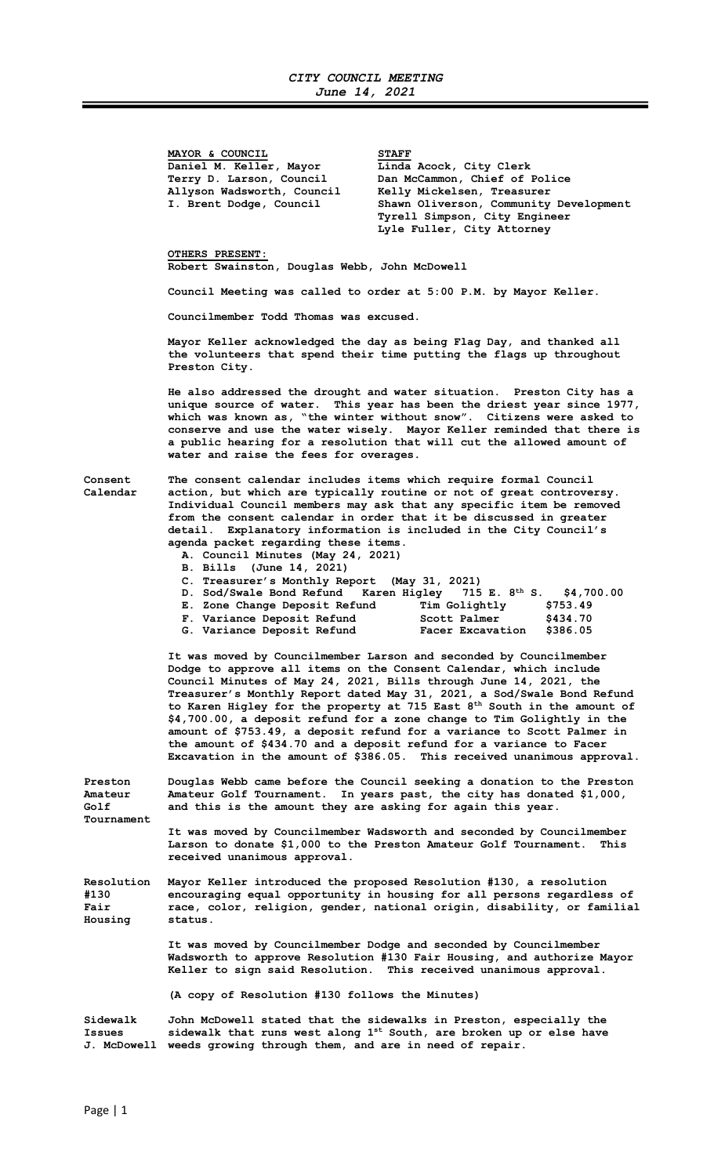MAYOR & COUNCIL<br>Daniel M. Keller, Mayor binda Acock, City Clerk Daniel M. Keller, Mayor Allyson Wadsworth, Council Kelly Mickelsen, Treasurer<br>I. Brent Dodge, Council Shawn Oliverson, Community

Terry D. Larson, Council Dan McCammon, Chief of Police<br>Allyson Wadsworth, Council Kelly Mickelsen, Treasurer Shawn Oliverson, Community Development Tyrell Simpson, City Engineer Lyle Fuller, City Attorney

## OTHERS PRESENT:

Robert Swainston, Douglas Webb, John McDowell

Council Meeting was called to order at 5:00 P.M. by Mayor Keller.

Councilmember Todd Thomas was excused.

Mayor Keller acknowledged the day as being Flag Day, and thanked all the volunteers that spend their time putting the flags up throughout Preston City.

He also addressed the drought and water situation. Preston City has a unique source of water. This year has been the driest year since 1977, which was known as, "the winter without snow". Citizens were asked to conserve and use the water wisely. Mayor Keller reminded that there is a public hearing for a resolution that will cut the allowed amount of water and raise the fees for overages.

Consent The consent calendar includes items which require formal Council Calendar action, but which are typically routine or not of great controversy. Individual Council members may ask that any specific item be removed from the consent calendar in order that it be discussed in greater detail. Explanatory information is included in the City Council's agenda packet regarding these items.

- A. Council Minutes (May 24, 2021)
	-
- B. Bills (June 14, 2021)<br>C. Treasurer's Monthly Report (May 31, 2021) C. Treasurer's Monthly Report (May 31, 2021)
- D. Sod/Swale Bond Refund Karen Higley 715 E. 8<sup>th</sup> S. \$4,700.00 E. Zone Change Deposit Refund Tim Golightly \$753.49
- F. Variance Deposit Refund Scott Palmer \$434.70
- G. Variance Deposit Refund Facer Excavation \$386.05

 It was moved by Councilmember Larson and seconded by Councilmember Dodge to approve all items on the Consent Calendar, which include Council Minutes of May 24, 2021, Bills through June 14, 2021, the Treasurer's Monthly Report dated May 31, 2021, a Sod/Swale Bond Refund to Karen Higley for the property at 715 East 8<sup>th</sup> South in the amount of \$4,700.00, a deposit refund for a zone change to Tim Golightly in the amount of \$753.49, a deposit refund for a variance to Scott Palmer in the amount of \$434.70 and a deposit refund for a variance to Facer Excavation in the amount of \$386.05. This received unanimous approval.

Preston Douglas Webb came before the Council seeking a donation to the Preston Amateur Amateur Golf Tournament. In years past, the city has donated \$1,000, Golf and this is the amount they are asking for again this year. Tournament

> It was moved by Councilmember Wadsworth and seconded by Councilmember Larson to donate \$1,000 to the Preston Amateur Golf Tournament. This received unanimous approval.

Resolution Mayor Keller introduced the proposed Resolution #130, a resolution #130 encouraging equal opportunity in housing for all persons regardless of<br>Fair (color, religion, gender, national origin, disability, or familia race, color, religion, gender, national origin, disability, or familial Housing status.

> It was moved by Councilmember Dodge and seconded by Councilmember Wadsworth to approve Resolution #130 Fair Housing, and authorize Mayor Keller to sign said Resolution. This received unanimous approval.

(A copy of Resolution #130 follows the Minutes)

Sidewalk John McDowell stated that the sidewalks in Preston, especially the Issues sidewalk that runs west along 1<sup>st</sup> South, are broken up or else have J. McDowell weeds growing through them, and are in need of repair.